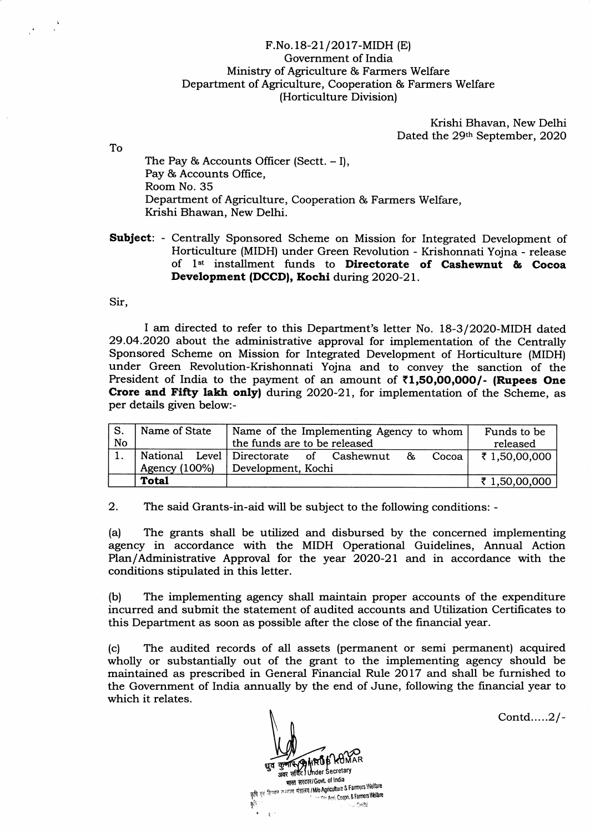## F.No.18-21/2017-MIDH (E) Government of India Ministry of Agriculture & Farmers Welfare Department of Agriculture, Cooperation & Farmers Welfare (Horticulture Division)

Krishi Bhavan, New Delhi Dated the 29th September, 2020

The Pay & Accounts Officer (Sectt.  $-1$ ), Pay & Accounts Office. Room No. 35 Department of Agriculture, Cooperation & Farmers Welfare, Krishi Bhawan, New Delhi.

Subject: - Centrally Sponsored Scheme on Mission for Integrated Development of Horticulture (MIDH) under Green Revolution - Krishonnati Yojna - release<br>of 1<sup>st</sup> installment funds to **Directorate of Cashewnut & Cocoa** Development (DCCD), Kochi during 2020-21.

Sir,

To

I am directed to refer to this Department's letter No. 18-3/2O2O-MIDH dated 29.04.2020 about the administrative approval for implementation of the Centrally Sponsored Scheme on Mission for lntegrated Development of Horticulture (MIDH) under Green Revolution-Krishonnati Yojna and to convey the sanction of the President of India to the payment of an amount of  $\bar{\tau}$ 1.50.00.000/- (Rupees One Crore and Fifty lakh only) during  $2020-21$ , for implementation of the Scheme, as per details given below:-

| S.<br><b>No</b> | Name of State<br>Name of the Implementing Agency to whom<br>the funds are to be released |                                                      | Funds to be<br>released |
|-----------------|------------------------------------------------------------------------------------------|------------------------------------------------------|-------------------------|
|                 |                                                                                          | National Level Directorate of Cashewnut &<br>Cocoa l | ₹ 1,50,00,000           |
|                 | Agency (100%)                                                                            | Development, Kochi                                   |                         |
|                 | <b>Total</b>                                                                             |                                                      | ₹ 1,50,00,000           |

2. The said Grants-in-aid will be subject to the following conditions: -

(a) The grants shall be utilized and disbursed by the concerned implementing agency in accordance with the MIDH Operational Guidelines, Annual Action Plan/Administrative Approval for the year 2O2O-21 and in accordance with the conditions stipulated in this letter.

(b) The implementing agency shall maintain proper accounts of the expenditure incurred and submit the statement of audited accounts and Utilization Certificates to this Department as soon as possible after the close of the financial year.

(c) The audited records of all assets (permanent or semi permanent) acquired wholly or substantially out of the grant to the implementing agency should be maintained as prescribed in General Financial Rule 2017 and shall be furnished to the Government of India annually by the end of June, following the financial year to which it relates.

> แหง็ติ धुव कु<sup>रू</sup><br><sub>अवर</sub> भारत सरकार/Govt. of India भारत सरकारा उद्याग के Farmers Welfare<br>कृषि एवं किमान कन्याण मंत्रालय I Mio Agriculture & Farmers Welfare

 $\sim$  Delhi

مي<br>ما

Contd.....2/-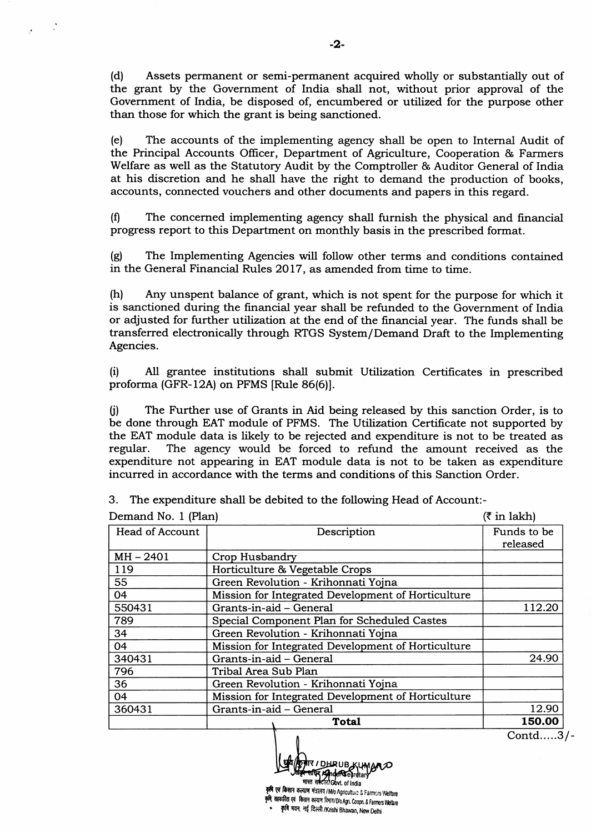(d) Assets perrnanent or semi-pennanent acquired wholly or substantially out of the grant by the Government of India shall not, without prior approval of the Government of India, be disposed of, encumbered or utilized for the purpose other than those for which the grant is being sanctioned.

(e) The accounts of the implementing agency shall be open to Internal Audit of the Principal Accounts Officer, Department of Agriculture, Cooperation & Farmers Welfare as well as the Statutory Audit by the Comptroller & Auditor General of India at his discretion and he shall have the right to demand the production of books, accounts, connected vouchers and other documents and papers in this regard.

 $(f)$  The concerned implementing agency shall furnish the physical and financial progress report to this Department on monthly basis in the prescribed format.

(g) The Implementing Agencies will follow other terms and conditions contained in the General Financial Rules 2017, as amended from time to time.

(h) Any unspent balance of grant, which is not spent for the purpose for which it is sanctioned during the financial year shall be refunded to the Government of lndia or adjusted for further utilization at the end of the financial year. The funds shall be transferred electronically through RTGS System/Demand Draft to the Implementing Agencies.

(i) All grantee institutions shall submit Utilization Certificates in prescribed proforma (GFR-l2A) on PFMS [Rule 86(6)].

0) The Further use of Grants in Aid being released by this sanction Order, is to be done through EAT module of PFMS. The Utilization Certificate not supported by the EAT module data is likely to be rejected and expenditure is not to be treated as The agency would be forced to refund the amount received as the expenditure not appearing in EAT module data is not to be taken as expenditure incurred in accordance with the terms and conditions of this Sanction Order.

3. The expenditure shall be debited to the following Head of Account:-

| Demand No. 1 (Plan) | $(3 \in \mathbb{R})$                               |                         |
|---------------------|----------------------------------------------------|-------------------------|
| Head of Account     | Description                                        | Funds to be<br>released |
| $MH - 2401$         | Crop Husbandry                                     |                         |
| 119                 | Horticulture & Vegetable Crops                     |                         |
| 55                  | Green Revolution - Krihonnati Yojna                |                         |
| 04                  | Mission for Integrated Development of Horticulture |                         |
| 550431              | Grants-in-aid - General                            | 112.20                  |
| 789                 | Special Component Plan for Scheduled Castes        |                         |
| 34                  | Green Revolution - Krihonnati Yojna                |                         |
| 04                  | Mission for Integrated Development of Horticulture |                         |
| 340431              | Grants-in-aid - General                            | 24.90                   |
| 796                 | Tribal Area Sub Plan                               |                         |
| 36                  | Green Revolution - Krihonnati Yojna                |                         |
| 04                  | Mission for Integrated Development of Horticulture |                         |
| 360431              | Grants-in-aid - General                            | 12.90                   |
|                     | Total                                              | 150.00                  |

Contd.....3/-

-2-

स्तरित Andersegret कृषि एवं किसान कल्याण मंत्रालय /M/o Agriculture & Farmers Welfare<br>कृषि सहकारिता एवं किसान कल्याण दिमाग/D/o.Agri, Coopn. & Farmers Welfare

कृषि भवन, नई दिल्ली /Krishi Bhawan, New Delhi